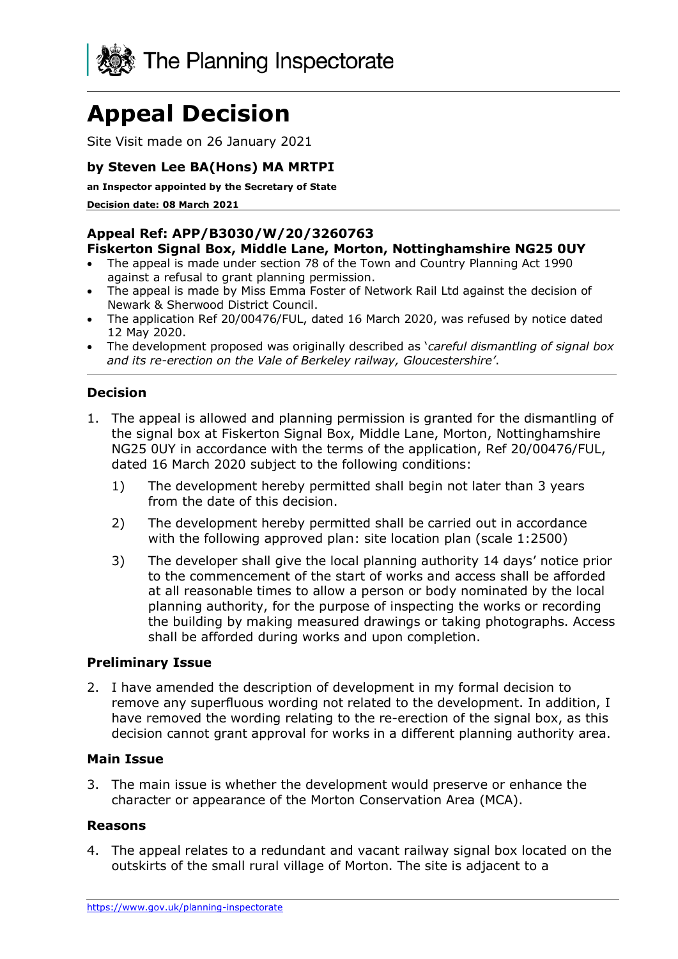

# **Appeal Decision**

Site Visit made on 26 January 2021

## **by Steven Lee BA(Hons) MA MRTPI**

**an Inspector appointed by the Secretary of State** 

**Decision date: 08 March 2021**

#### **Appeal Ref: APP/B3030/W/20/3260763 Fiskerton Signal Box, Middle Lane, Morton, Nottinghamshire NG25 0UY**

- The appeal is made under section 78 of the Town and Country Planning Act 1990 against a refusal to grant planning permission.
- The appeal is made by Miss Emma Foster of Network Rail Ltd against the decision of Newark & Sherwood District Council.
- The application Ref 20/00476/FUL, dated 16 March 2020, was refused by notice dated 12 May 2020.
- The development proposed was originally described as '*careful dismantling of signal box and its re-erection on the Vale of Berkeley railway, Gloucestershire'*.

## **Decision**

- 1. The appeal is allowed and planning permission is granted for the dismantling of the signal box at Fiskerton Signal Box, Middle Lane, Morton, Nottinghamshire NG25 0UY in accordance with the terms of the application, Ref 20/00476/FUL, dated 16 March 2020 subject to the following conditions:
	- 1) The development hereby permitted shall begin not later than 3 years from the date of this decision.
	- 2) The development hereby permitted shall be carried out in accordance with the following approved plan: site location plan (scale 1:2500)
	- 3) The developer shall give the local planning authority 14 days' notice prior to the commencement of the start of works and access shall be afforded at all reasonable times to allow a person or body nominated by the local planning authority, for the purpose of inspecting the works or recording the building by making measured drawings or taking photographs. Access shall be afforded during works and upon completion.

#### **Preliminary Issue**

2. I have amended the description of development in my formal decision to remove any superfluous wording not related to the development. In addition, I have removed the wording relating to the re-erection of the signal box, as this decision cannot grant approval for works in a different planning authority area.

#### **Main Issue**

3. The main issue is whether the development would preserve or enhance the character or appearance of the Morton Conservation Area (MCA).

#### **Reasons**

4. The appeal relates to a redundant and vacant railway signal box located on the outskirts of the small rural village of Morton. The site is adjacent to a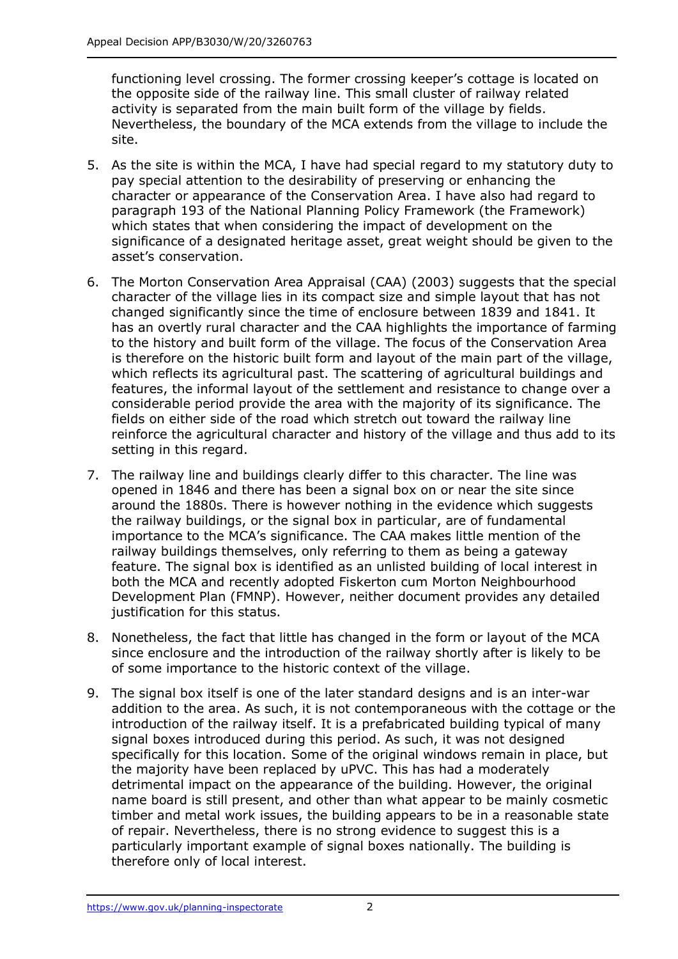functioning level crossing. The former crossing keeper's cottage is located on the opposite side of the railway line. This small cluster of railway related activity is separated from the main built form of the village by fields. Nevertheless, the boundary of the MCA extends from the village to include the site.

- 5. As the site is within the MCA, I have had special regard to my statutory duty to pay special attention to the desirability of preserving or enhancing the character or appearance of the Conservation Area. I have also had regard to paragraph 193 of the National Planning Policy Framework (the Framework) which states that when considering the impact of development on the significance of a designated heritage asset, great weight should be given to the asset's conservation.
- 6. The Morton Conservation Area Appraisal (CAA) (2003) suggests that the special character of the village lies in its compact size and simple layout that has not changed significantly since the time of enclosure between 1839 and 1841. It has an overtly rural character and the CAA highlights the importance of farming to the history and built form of the village. The focus of the Conservation Area is therefore on the historic built form and layout of the main part of the village, which reflects its agricultural past. The scattering of agricultural buildings and features, the informal layout of the settlement and resistance to change over a considerable period provide the area with the majority of its significance. The fields on either side of the road which stretch out toward the railway line reinforce the agricultural character and history of the village and thus add to its setting in this regard.
- 7. The railway line and buildings clearly differ to this character. The line was opened in 1846 and there has been a signal box on or near the site since around the 1880s. There is however nothing in the evidence which suggests the railway buildings, or the signal box in particular, are of fundamental importance to the MCA's significance. The CAA makes little mention of the railway buildings themselves, only referring to them as being a gateway feature. The signal box is identified as an unlisted building of local interest in both the MCA and recently adopted Fiskerton cum Morton Neighbourhood Development Plan (FMNP). However, neither document provides any detailed justification for this status.
- 8. Nonetheless, the fact that little has changed in the form or layout of the MCA since enclosure and the introduction of the railway shortly after is likely to be of some importance to the historic context of the village.
- 9. The signal box itself is one of the later standard designs and is an inter-war addition to the area. As such, it is not contemporaneous with the cottage or the introduction of the railway itself. It is a prefabricated building typical of many signal boxes introduced during this period. As such, it was not designed specifically for this location. Some of the original windows remain in place, but the majority have been replaced by uPVC. This has had a moderately detrimental impact on the appearance of the building. However, the original name board is still present, and other than what appear to be mainly cosmetic timber and metal work issues, the building appears to be in a reasonable state of repair. Nevertheless, there is no strong evidence to suggest this is a particularly important example of signal boxes nationally. The building is therefore only of local interest.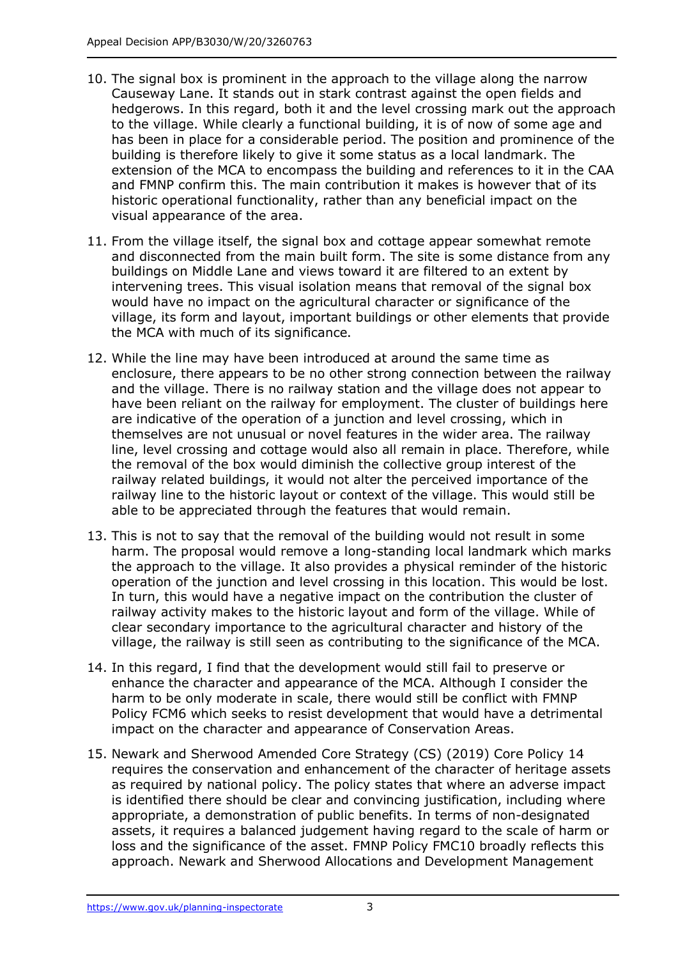- 10. The signal box is prominent in the approach to the village along the narrow Causeway Lane. It stands out in stark contrast against the open fields and hedgerows. In this regard, both it and the level crossing mark out the approach to the village. While clearly a functional building, it is of now of some age and has been in place for a considerable period. The position and prominence of the building is therefore likely to give it some status as a local landmark. The extension of the MCA to encompass the building and references to it in the CAA and FMNP confirm this. The main contribution it makes is however that of its historic operational functionality, rather than any beneficial impact on the visual appearance of the area.
- 11. From the village itself, the signal box and cottage appear somewhat remote and disconnected from the main built form. The site is some distance from any buildings on Middle Lane and views toward it are filtered to an extent by intervening trees. This visual isolation means that removal of the signal box would have no impact on the agricultural character or significance of the village, its form and layout, important buildings or other elements that provide the MCA with much of its significance.
- 12. While the line may have been introduced at around the same time as enclosure, there appears to be no other strong connection between the railway and the village. There is no railway station and the village does not appear to have been reliant on the railway for employment. The cluster of buildings here are indicative of the operation of a junction and level crossing, which in themselves are not unusual or novel features in the wider area. The railway line, level crossing and cottage would also all remain in place. Therefore, while the removal of the box would diminish the collective group interest of the railway related buildings, it would not alter the perceived importance of the railway line to the historic layout or context of the village. This would still be able to be appreciated through the features that would remain.
- 13. This is not to say that the removal of the building would not result in some harm. The proposal would remove a long-standing local landmark which marks the approach to the village. It also provides a physical reminder of the historic operation of the junction and level crossing in this location. This would be lost. In turn, this would have a negative impact on the contribution the cluster of railway activity makes to the historic layout and form of the village. While of clear secondary importance to the agricultural character and history of the village, the railway is still seen as contributing to the significance of the MCA.
- 14. In this regard, I find that the development would still fail to preserve or enhance the character and appearance of the MCA. Although I consider the harm to be only moderate in scale, there would still be conflict with FMNP Policy FCM6 which seeks to resist development that would have a detrimental impact on the character and appearance of Conservation Areas.
- 15. Newark and Sherwood Amended Core Strategy (CS) (2019) Core Policy 14 requires the conservation and enhancement of the character of heritage assets as required by national policy. The policy states that where an adverse impact is identified there should be clear and convincing justification, including where appropriate, a demonstration of public benefits. In terms of non-designated assets, it requires a balanced judgement having regard to the scale of harm or loss and the significance of the asset. FMNP Policy FMC10 broadly reflects this approach. Newark and Sherwood Allocations and Development Management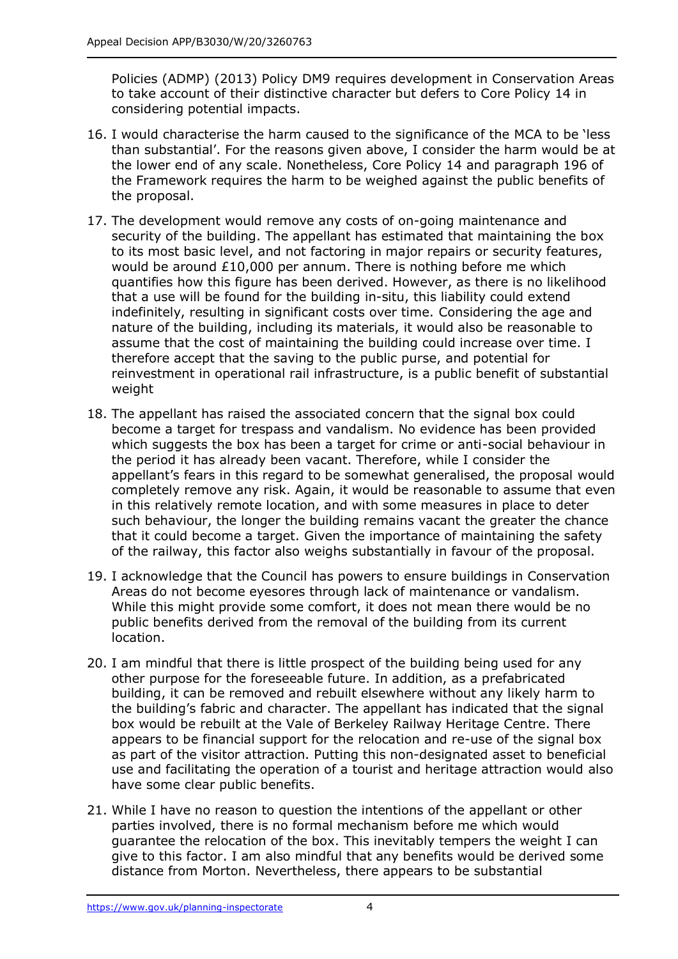Policies (ADMP) (2013) Policy DM9 requires development in Conservation Areas to take account of their distinctive character but defers to Core Policy 14 in considering potential impacts.

- 16. I would characterise the harm caused to the significance of the MCA to be 'less than substantial'. For the reasons given above, I consider the harm would be at the lower end of any scale. Nonetheless, Core Policy 14 and paragraph 196 of the Framework requires the harm to be weighed against the public benefits of the proposal.
- 17. The development would remove any costs of on-going maintenance and security of the building. The appellant has estimated that maintaining the box to its most basic level, and not factoring in major repairs or security features, would be around £10,000 per annum. There is nothing before me which quantifies how this figure has been derived. However, as there is no likelihood that a use will be found for the building in-situ, this liability could extend indefinitely, resulting in significant costs over time. Considering the age and nature of the building, including its materials, it would also be reasonable to assume that the cost of maintaining the building could increase over time. I therefore accept that the saving to the public purse, and potential for reinvestment in operational rail infrastructure, is a public benefit of substantial weight
- 18. The appellant has raised the associated concern that the signal box could become a target for trespass and vandalism. No evidence has been provided which suggests the box has been a target for crime or anti-social behaviour in the period it has already been vacant. Therefore, while I consider the appellant's fears in this regard to be somewhat generalised, the proposal would completely remove any risk. Again, it would be reasonable to assume that even in this relatively remote location, and with some measures in place to deter such behaviour, the longer the building remains vacant the greater the chance that it could become a target. Given the importance of maintaining the safety of the railway, this factor also weighs substantially in favour of the proposal.
- 19. I acknowledge that the Council has powers to ensure buildings in Conservation Areas do not become eyesores through lack of maintenance or vandalism. While this might provide some comfort, it does not mean there would be no public benefits derived from the removal of the building from its current location.
- 20. I am mindful that there is little prospect of the building being used for any other purpose for the foreseeable future. In addition, as a prefabricated building, it can be removed and rebuilt elsewhere without any likely harm to the building's fabric and character. The appellant has indicated that the signal box would be rebuilt at the Vale of Berkeley Railway Heritage Centre. There appears to be financial support for the relocation and re-use of the signal box as part of the visitor attraction. Putting this non-designated asset to beneficial use and facilitating the operation of a tourist and heritage attraction would also have some clear public benefits.
- 21. While I have no reason to question the intentions of the appellant or other parties involved, there is no formal mechanism before me which would guarantee the relocation of the box. This inevitably tempers the weight I can give to this factor. I am also mindful that any benefits would be derived some distance from Morton. Nevertheless, there appears to be substantial